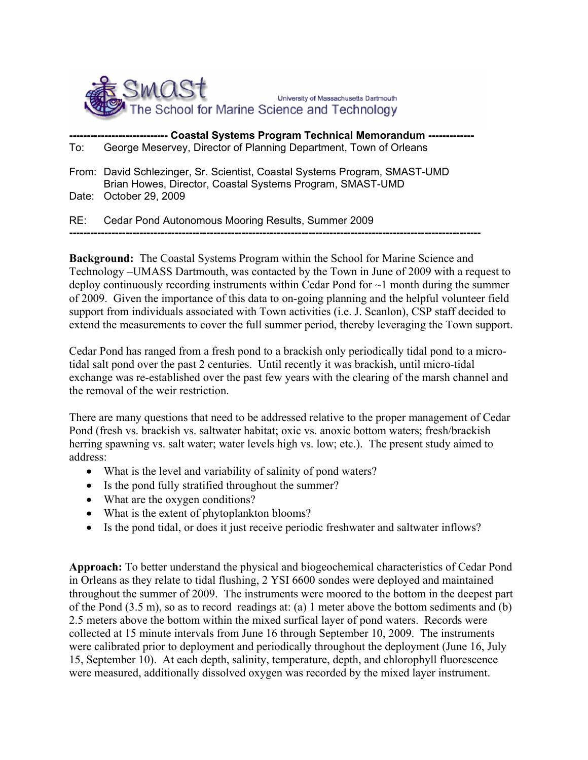

**---------------------------- Coastal Systems Program Technical Memorandum -------------**  To: George Meservey, Director of Planning Department, Town of Orleans

From: David Schlezinger, Sr. Scientist, Coastal Systems Program, SMAST-UMD Brian Howes, Director, Coastal Systems Program, SMAST-UMD Date: October 29, 2009

RE: Cedar Pond Autonomous Mooring Results, Summer 2009 **---------------------------------------------------------------------------------------------------------------------**

**Background:** The Coastal Systems Program within the School for Marine Science and Technology –UMASS Dartmouth, was contacted by the Town in June of 2009 with a request to deploy continuously recording instruments within Cedar Pond for ~1 month during the summer of 2009. Given the importance of this data to on-going planning and the helpful volunteer field support from individuals associated with Town activities (i.e. J. Scanlon), CSP staff decided to extend the measurements to cover the full summer period, thereby leveraging the Town support.

Cedar Pond has ranged from a fresh pond to a brackish only periodically tidal pond to a microtidal salt pond over the past 2 centuries. Until recently it was brackish, until micro-tidal exchange was re-established over the past few years with the clearing of the marsh channel and the removal of the weir restriction.

There are many questions that need to be addressed relative to the proper management of Cedar Pond (fresh vs. brackish vs. saltwater habitat; oxic vs. anoxic bottom waters; fresh/brackish herring spawning vs. salt water; water levels high vs. low; etc.). The present study aimed to address:

- What is the level and variability of salinity of pond waters?
- Is the pond fully stratified throughout the summer?
- What are the oxygen conditions?
- What is the extent of phytoplankton blooms?
- Is the pond tidal, or does it just receive periodic freshwater and saltwater inflows?

**Approach:** To better understand the physical and biogeochemical characteristics of Cedar Pond in Orleans as they relate to tidal flushing, 2 YSI 6600 sondes were deployed and maintained throughout the summer of 2009. The instruments were moored to the bottom in the deepest part of the Pond (3.5 m), so as to record readings at: (a) 1 meter above the bottom sediments and (b) 2.5 meters above the bottom within the mixed surfical layer of pond waters. Records were collected at 15 minute intervals from June 16 through September 10, 2009. The instruments were calibrated prior to deployment and periodically throughout the deployment (June 16, July 15, September 10). At each depth, salinity, temperature, depth, and chlorophyll fluorescence were measured, additionally dissolved oxygen was recorded by the mixed layer instrument.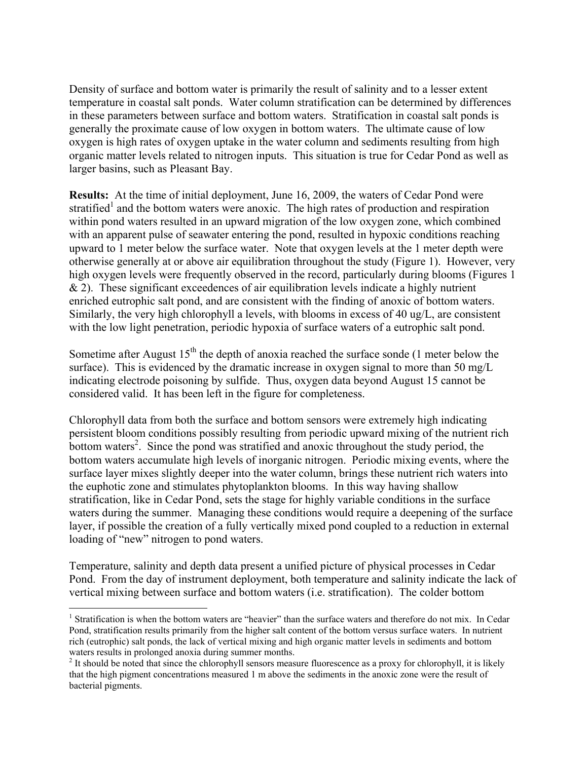Density of surface and bottom water is primarily the result of salinity and to a lesser extent temperature in coastal salt ponds. Water column stratification can be determined by differences in these parameters between surface and bottom waters. Stratification in coastal salt ponds is generally the proximate cause of low oxygen in bottom waters. The ultimate cause of low oxygen is high rates of oxygen uptake in the water column and sediments resulting from high organic matter levels related to nitrogen inputs. This situation is true for Cedar Pond as well as larger basins, such as Pleasant Bay.

**Results:** At the time of initial deployment, June 16, 2009, the waters of Cedar Pond were stratified<sup>1</sup> and the bottom waters were anoxic. The high rates of production and respiration within pond waters resulted in an upward migration of the low oxygen zone, which combined with an apparent pulse of seawater entering the pond, resulted in hypoxic conditions reaching upward to 1 meter below the surface water. Note that oxygen levels at the 1 meter depth were otherwise generally at or above air equilibration throughout the study (Figure 1). However, very high oxygen levels were frequently observed in the record, particularly during blooms (Figures 1 & 2). These significant exceedences of air equilibration levels indicate a highly nutrient enriched eutrophic salt pond, and are consistent with the finding of anoxic of bottom waters. Similarly, the very high chlorophyll a levels, with blooms in excess of 40 ug/L, are consistent with the low light penetration, periodic hypoxia of surface waters of a eutrophic salt pond.

Sometime after August  $15<sup>th</sup>$  the depth of anoxia reached the surface sonde (1 meter below the surface). This is evidenced by the dramatic increase in oxygen signal to more than 50 mg/L indicating electrode poisoning by sulfide. Thus, oxygen data beyond August 15 cannot be considered valid. It has been left in the figure for completeness.

Chlorophyll data from both the surface and bottom sensors were extremely high indicating persistent bloom conditions possibly resulting from periodic upward mixing of the nutrient rich bottom waters<sup>2</sup>. Since the pond was stratified and anoxic throughout the study period, the bottom waters accumulate high levels of inorganic nitrogen. Periodic mixing events, where the surface layer mixes slightly deeper into the water column, brings these nutrient rich waters into the euphotic zone and stimulates phytoplankton blooms. In this way having shallow stratification, like in Cedar Pond, sets the stage for highly variable conditions in the surface waters during the summer. Managing these conditions would require a deepening of the surface layer, if possible the creation of a fully vertically mixed pond coupled to a reduction in external loading of "new" nitrogen to pond waters.

Temperature, salinity and depth data present a unified picture of physical processes in Cedar Pond. From the day of instrument deployment, both temperature and salinity indicate the lack of vertical mixing between surface and bottom waters (i.e. stratification). The colder bottom

 $\overline{a}$ 

<sup>&</sup>lt;sup>1</sup> Stratification is when the bottom waters are "heavier" than the surface waters and therefore do not mix. In Cedar Pond, stratification results primarily from the higher salt content of the bottom versus surface waters. In nutrient rich (eutrophic) salt ponds, the lack of vertical mixing and high organic matter levels in sediments and bottom waters results in prolonged anoxia during summer months.

 $2<sup>2</sup>$  It should be noted that since the chlorophyll sensors measure fluorescence as a proxy for chlorophyll, it is likely that the high pigment concentrations measured 1 m above the sediments in the anoxic zone were the result of bacterial pigments.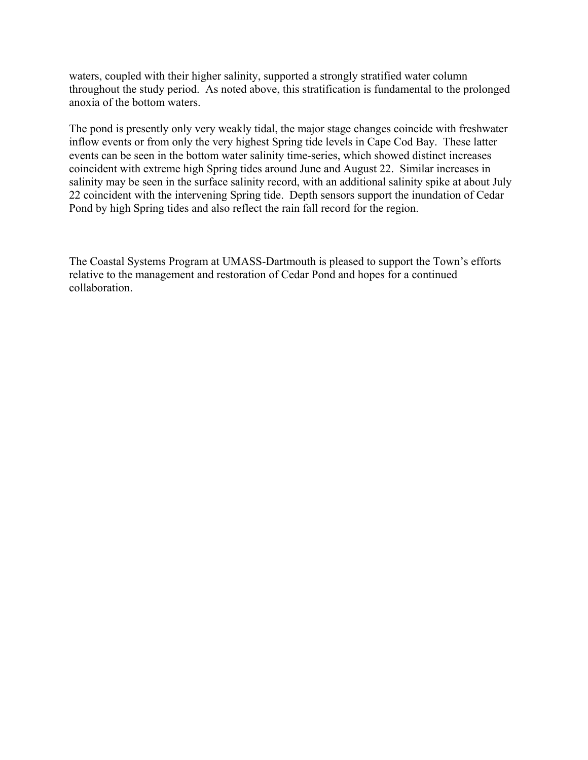waters, coupled with their higher salinity, supported a strongly stratified water column throughout the study period. As noted above, this stratification is fundamental to the prolonged anoxia of the bottom waters.

The pond is presently only very weakly tidal, the major stage changes coincide with freshwater inflow events or from only the very highest Spring tide levels in Cape Cod Bay. These latter events can be seen in the bottom water salinity time-series, which showed distinct increases coincident with extreme high Spring tides around June and August 22. Similar increases in salinity may be seen in the surface salinity record, with an additional salinity spike at about July 22 coincident with the intervening Spring tide. Depth sensors support the inundation of Cedar Pond by high Spring tides and also reflect the rain fall record for the region.

The Coastal Systems Program at UMASS-Dartmouth is pleased to support the Town's efforts relative to the management and restoration of Cedar Pond and hopes for a continued collaboration.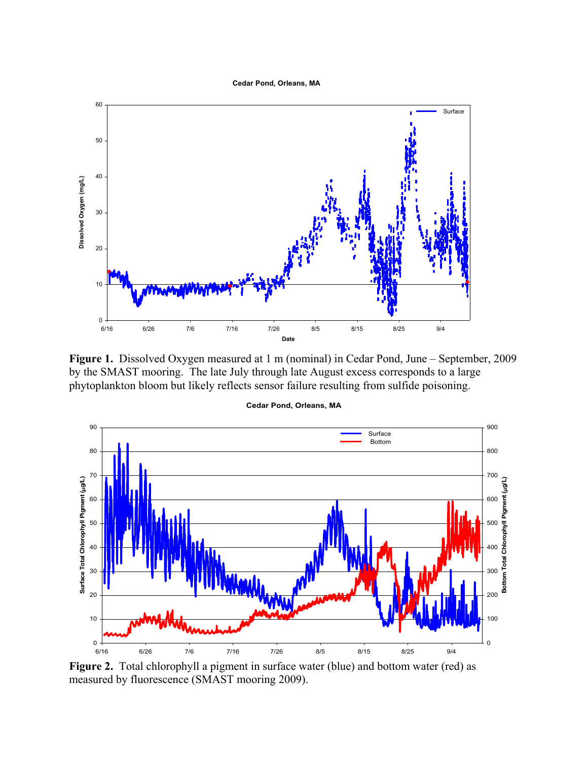## **Cedar Pond, Orleans, MA**



**Figure 1.** Dissolved Oxygen measured at 1 m (nominal) in Cedar Pond, June – September, 2009 by the SMAST mooring. The late July through late August excess corresponds to a large phytoplankton bloom but likely reflects sensor failure resulting from sulfide poisoning.



**Cedar Pond, Orleans, MA**

**Figure 2.** Total chlorophyll a pigment in surface water (blue) and bottom water (red) as measured by fluorescence (SMAST mooring 2009).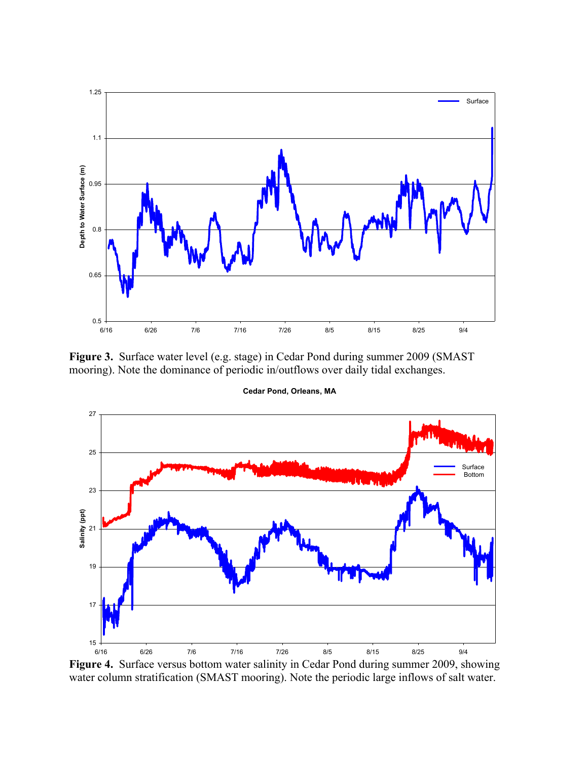

**Figure 3.** Surface water level (e.g. stage) in Cedar Pond during summer 2009 (SMAST mooring). Note the dominance of periodic in/outflows over daily tidal exchanges.



**Cedar Pond, Orleans, MA**

**Figure 4.** Surface versus bottom water salinity in Cedar Pond during summer 2009, showing water column stratification (SMAST mooring). Note the periodic large inflows of salt water.